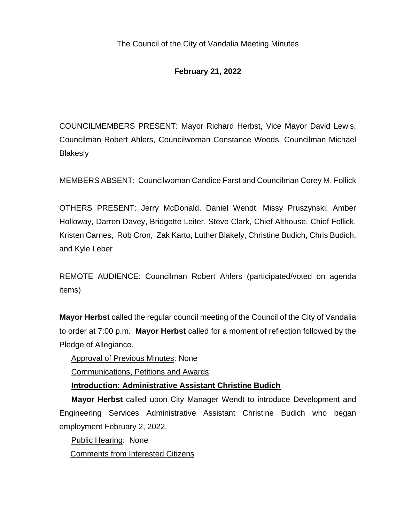# **February 21, 2022**

COUNCILMEMBERS PRESENT: Mayor Richard Herbst, Vice Mayor David Lewis, Councilman Robert Ahlers, Councilwoman Constance Woods, Councilman Michael **Blakesly** 

MEMBERS ABSENT: Councilwoman Candice Farst and Councilman Corey M. Follick

OTHERS PRESENT: Jerry McDonald, Daniel Wendt, Missy Pruszynski, Amber Holloway, Darren Davey, Bridgette Leiter, Steve Clark, Chief Althouse, Chief Follick, Kristen Carnes, Rob Cron, Zak Karto, Luther Blakely, Christine Budich, Chris Budich, and Kyle Leber

REMOTE AUDIENCE: Councilman Robert Ahlers (participated/voted on agenda items)

**Mayor Herbst** called the regular council meeting of the Council of the City of Vandalia to order at 7:00 p.m. **Mayor Herbst** called for a moment of reflection followed by the Pledge of Allegiance.

Approval of Previous Minutes: None

Communications, Petitions and Awards:

**Introduction: Administrative Assistant Christine Budich**

**Mayor Herbst** called upon City Manager Wendt to introduce Development and Engineering Services Administrative Assistant Christine Budich who began employment February 2, 2022.

Public Hearing: None

Comments from Interested Citizens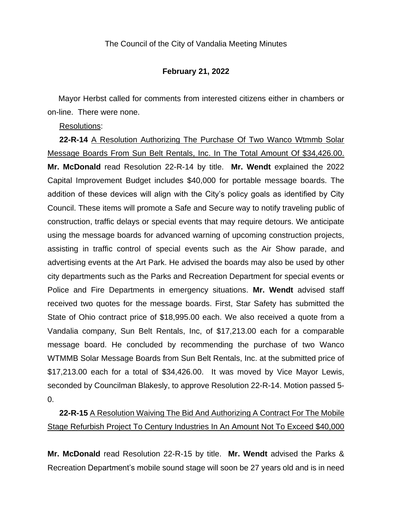### **February 21, 2022**

 Mayor Herbst called for comments from interested citizens either in chambers or on-line. There were none.

Resolutions:

**22-R-14** A Resolution Authorizing The Purchase Of Two Wanco Wtmmb Solar Message Boards From Sun Belt Rentals, Inc. In The Total Amount Of \$34,426.00. **Mr. McDonald** read Resolution 22-R-14 by title. **Mr. Wendt** explained the 2022 Capital Improvement Budget includes \$40,000 for portable message boards. The addition of these devices will align with the City's policy goals as identified by City Council. These items will promote a Safe and Secure way to notify traveling public of construction, traffic delays or special events that may require detours. We anticipate using the message boards for advanced warning of upcoming construction projects, assisting in traffic control of special events such as the Air Show parade, and advertising events at the Art Park. He advised the boards may also be used by other city departments such as the Parks and Recreation Department for special events or Police and Fire Departments in emergency situations. **Mr. Wendt** advised staff received two quotes for the message boards. First, Star Safety has submitted the State of Ohio contract price of \$18,995.00 each. We also received a quote from a Vandalia company, Sun Belt Rentals, Inc, of \$17,213.00 each for a comparable message board. He concluded by recommending the purchase of two Wanco WTMMB Solar Message Boards from Sun Belt Rentals, Inc. at the submitted price of \$17,213.00 each for a total of \$34,426.00. It was moved by Vice Mayor Lewis, seconded by Councilman Blakesly, to approve Resolution 22-R-14. Motion passed 5- 0.

**22-R-15** A Resolution Waiving The Bid And Authorizing A Contract For The Mobile Stage Refurbish Project To Century Industries In An Amount Not To Exceed \$40,000

**Mr. McDonald** read Resolution 22-R-15 by title. **Mr. Wendt** advised the Parks & Recreation Department's mobile sound stage will soon be 27 years old and is in need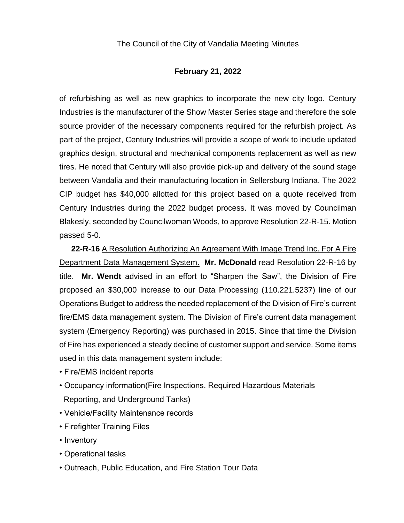### **February 21, 2022**

of refurbishing as well as new graphics to incorporate the new city logo. Century Industries is the manufacturer of the Show Master Series stage and therefore the sole source provider of the necessary components required for the refurbish project. As part of the project, Century Industries will provide a scope of work to include updated graphics design, structural and mechanical components replacement as well as new tires. He noted that Century will also provide pick-up and delivery of the sound stage between Vandalia and their manufacturing location in Sellersburg Indiana. The 2022 CIP budget has \$40,000 allotted for this project based on a quote received from Century Industries during the 2022 budget process. It was moved by Councilman Blakesly, seconded by Councilwoman Woods, to approve Resolution 22-R-15. Motion passed 5-0.

**22-R-16** A Resolution Authorizing An Agreement With Image Trend Inc. For A Fire Department Data Management System. **Mr. McDonald** read Resolution 22-R-16 by title. **Mr. Wendt** advised in an effort to "Sharpen the Saw", the Division of Fire proposed an \$30,000 increase to our Data Processing (110.221.5237) line of our Operations Budget to address the needed replacement of the Division of Fire's current fire/EMS data management system. The Division of Fire's current data management system (Emergency Reporting) was purchased in 2015. Since that time the Division of Fire has experienced a steady decline of customer support and service. Some items used in this data management system include:

- Fire/EMS incident reports
- Occupancy information(Fire Inspections, Required Hazardous Materials Reporting, and Underground Tanks)
- Vehicle/Facility Maintenance records
- Firefighter Training Files
- Inventory
- Operational tasks
- Outreach, Public Education, and Fire Station Tour Data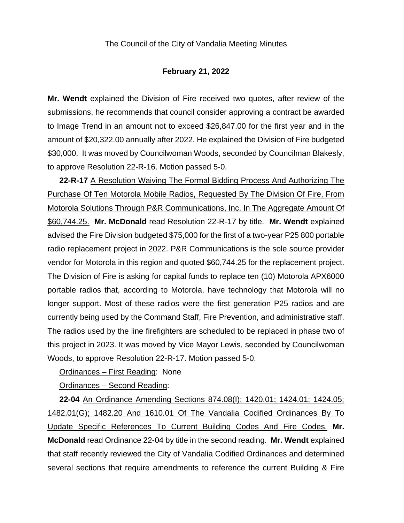#### **February 21, 2022**

**Mr. Wendt** explained the Division of Fire received two quotes, after review of the submissions, he recommends that council consider approving a contract be awarded to Image Trend in an amount not to exceed \$26,847.00 for the first year and in the amount of \$20,322.00 annually after 2022. He explained the Division of Fire budgeted \$30,000. It was moved by Councilwoman Woods, seconded by Councilman Blakesly, to approve Resolution 22-R-16. Motion passed 5-0.

**22-R-17** A Resolution Waiving The Formal Bidding Process And Authorizing The Purchase Of Ten Motorola Mobile Radios, Requested By The Division Of Fire, From Motorola Solutions Through P&R Communications, Inc. In The Aggregate Amount Of \$60,744.25. **Mr. McDonald** read Resolution 22-R-17 by title. **Mr. Wendt** explained advised the Fire Division budgeted \$75,000 for the first of a two-year P25 800 portable radio replacement project in 2022. P&R Communications is the sole source provider vendor for Motorola in this region and quoted \$60,744.25 for the replacement project. The Division of Fire is asking for capital funds to replace ten (10) Motorola APX6000 portable radios that, according to Motorola, have technology that Motorola will no longer support. Most of these radios were the first generation P25 radios and are currently being used by the Command Staff, Fire Prevention, and administrative staff. The radios used by the line firefighters are scheduled to be replaced in phase two of this project in 2023. It was moved by Vice Mayor Lewis, seconded by Councilwoman Woods, to approve Resolution 22-R-17. Motion passed 5-0.

Ordinances – First Reading: None

Ordinances – Second Reading:

**22-04** An Ordinance Amending Sections 874.08(I); 1420.01; 1424.01; 1424.05; 1482.01(G); 1482.20 And 1610.01 Of The Vandalia Codified Ordinances By To Update Specific References To Current Building Codes And Fire Codes. **Mr. McDonald** read Ordinance 22-04 by title in the second reading. **Mr. Wendt** explained that staff recently reviewed the City of Vandalia Codified Ordinances and determined several sections that require amendments to reference the current Building & Fire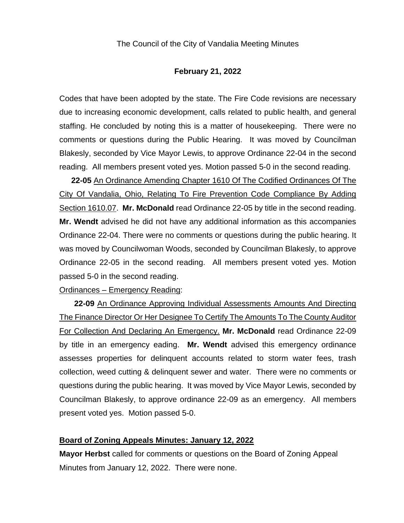#### **February 21, 2022**

Codes that have been adopted by the state. The Fire Code revisions are necessary due to increasing economic development, calls related to public health, and general staffing. He concluded by noting this is a matter of housekeeping. There were no comments or questions during the Public Hearing. It was moved by Councilman Blakesly, seconded by Vice Mayor Lewis, to approve Ordinance 22-04 in the second reading. All members present voted yes. Motion passed 5-0 in the second reading.

**22-05** An Ordinance Amending Chapter 1610 Of The Codified Ordinances Of The City Of Vandalia, Ohio, Relating To Fire Prevention Code Compliance By Adding Section 1610.07. **Mr. McDonald** read Ordinance 22-05 by title in the second reading. **Mr. Wendt** advised he did not have any additional information as this accompanies Ordinance 22-04. There were no comments or questions during the public hearing. It was moved by Councilwoman Woods, seconded by Councilman Blakesly, to approve Ordinance 22-05 in the second reading. All members present voted yes. Motion passed 5-0 in the second reading.

Ordinances – Emergency Reading:

**22-09** An Ordinance Approving Individual Assessments Amounts And Directing The Finance Director Or Her Designee To Certify The Amounts To The County Auditor For Collection And Declaring An Emergency. **Mr. McDonald** read Ordinance 22-09 by title in an emergency eading. **Mr. Wendt** advised this emergency ordinance assesses properties for delinquent accounts related to storm water fees, trash collection, weed cutting & delinquent sewer and water. There were no comments or questions during the public hearing. It was moved by Vice Mayor Lewis, seconded by Councilman Blakesly, to approve ordinance 22-09 as an emergency. All members present voted yes. Motion passed 5-0.

#### **Board of Zoning Appeals Minutes: January 12, 2022**

**Mayor Herbst** called for comments or questions on the Board of Zoning Appeal Minutes from January 12, 2022. There were none.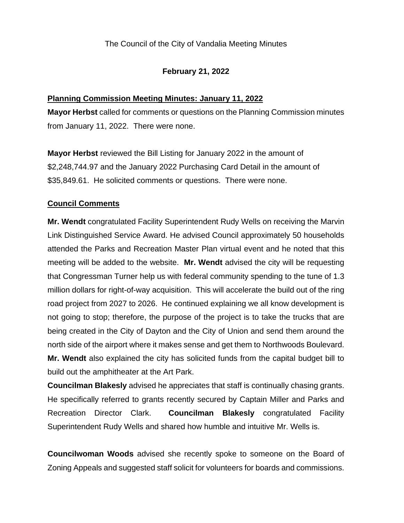## **February 21, 2022**

## **Planning Commission Meeting Minutes: January 11, 2022**

**Mayor Herbst** called for comments or questions on the Planning Commission minutes from January 11, 2022. There were none.

**Mayor Herbst** reviewed the Bill Listing for January 2022 in the amount of \$2,248,744.97 and the January 2022 Purchasing Card Detail in the amount of \$35,849.61. He solicited comments or questions. There were none.

### **Council Comments**

**Mr. Wendt** congratulated Facility Superintendent Rudy Wells on receiving the Marvin Link Distinguished Service Award. He advised Council approximately 50 households attended the Parks and Recreation Master Plan virtual event and he noted that this meeting will be added to the website. **Mr. Wendt** advised the city will be requesting that Congressman Turner help us with federal community spending to the tune of 1.3 million dollars for right-of-way acquisition. This will accelerate the build out of the ring road project from 2027 to 2026. He continued explaining we all know development is not going to stop; therefore, the purpose of the project is to take the trucks that are being created in the City of Dayton and the City of Union and send them around the north side of the airport where it makes sense and get them to Northwoods Boulevard. **Mr. Wendt** also explained the city has solicited funds from the capital budget bill to build out the amphitheater at the Art Park.

**Councilman Blakesly** advised he appreciates that staff is continually chasing grants. He specifically referred to grants recently secured by Captain Miller and Parks and Recreation Director Clark. **Councilman Blakesly** congratulated Facility Superintendent Rudy Wells and shared how humble and intuitive Mr. Wells is.

**Councilwoman Woods** advised she recently spoke to someone on the Board of Zoning Appeals and suggested staff solicit for volunteers for boards and commissions.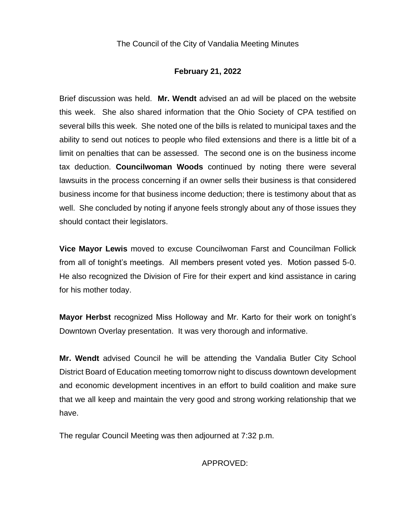# **February 21, 2022**

Brief discussion was held. **Mr. Wendt** advised an ad will be placed on the website this week. She also shared information that the Ohio Society of CPA testified on several bills this week. She noted one of the bills is related to municipal taxes and the ability to send out notices to people who filed extensions and there is a little bit of a limit on penalties that can be assessed. The second one is on the business income tax deduction. **Councilwoman Woods** continued by noting there were several lawsuits in the process concerning if an owner sells their business is that considered business income for that business income deduction; there is testimony about that as well. She concluded by noting if anyone feels strongly about any of those issues they should contact their legislators.

**Vice Mayor Lewis** moved to excuse Councilwoman Farst and Councilman Follick from all of tonight's meetings. All members present voted yes. Motion passed 5-0. He also recognized the Division of Fire for their expert and kind assistance in caring for his mother today.

**Mayor Herbst** recognized Miss Holloway and Mr. Karto for their work on tonight's Downtown Overlay presentation. It was very thorough and informative.

**Mr. Wendt** advised Council he will be attending the Vandalia Butler City School District Board of Education meeting tomorrow night to discuss downtown development and economic development incentives in an effort to build coalition and make sure that we all keep and maintain the very good and strong working relationship that we have.

The regular Council Meeting was then adjourned at 7:32 p.m.

APPROVED: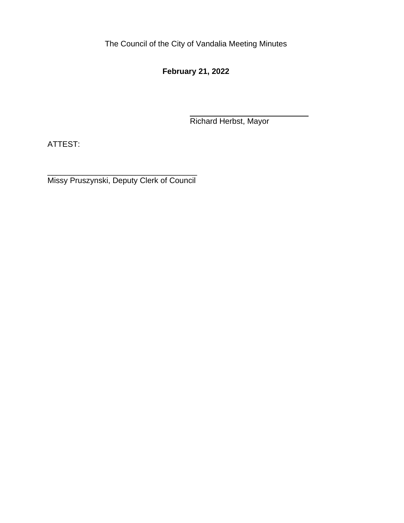**February 21, 2022**

Richard Herbst, Mayor

ATTEST:

\_\_\_\_\_\_\_\_\_\_\_\_\_\_\_\_\_\_\_\_\_\_\_\_\_\_\_\_\_\_\_\_\_\_ Missy Pruszynski, Deputy Clerk of Council